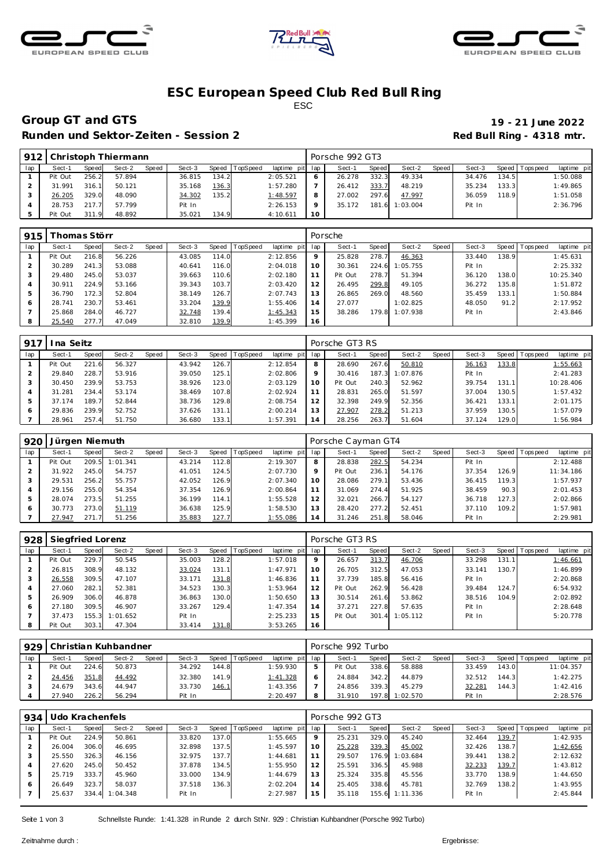





### **ESC European Speed C lub Red Bull R ing** ESC

# **Group GT and GTS 19 - 21 June 2022**

Runden und Sektor-Zeiten - Session 2 **Red Bull Ring - 4318 mtr.** 

| 912 |         |       | Christoph Thiermann |       |        |       |          |                 |    | Porsche 992 GT3 |       |          |       |        |       |                 |             |
|-----|---------|-------|---------------------|-------|--------|-------|----------|-----------------|----|-----------------|-------|----------|-------|--------|-------|-----------------|-------------|
| lap | Sect-1  | Speed | Sect-2              | Speed | Sect-3 | Speed | TopSpeed | laptime pit lap |    | Sect-1          | Speed | Sect-2   | Speed | Sect-3 |       | Speed Tops peed | laptime pit |
|     | Pit Out | 256.2 | 57.894              |       | 36.815 | 134.2 |          | 2:05.521        |    | 26.278          | 332.3 | 49.334   |       | 34.476 | 134.5 |                 | 1:50.088    |
|     | 31.991  | 316.1 | 50.121              |       | 35.168 | 136.3 |          | 1:57.280        |    | 26.412          | 333.7 | 48.219   |       | 35.234 | 133.3 |                 | 1:49.865    |
|     | 26.205  | 329.0 | 48.090              |       | 34.302 | 135.2 |          | 1:48.597        |    | 27.002          | 297.6 | 47.997   |       | 36.059 | 118.9 |                 | 1:51.058    |
|     | 28.753  | 217.7 | 57.799              |       | Pit In |       |          | 2:26.153        |    | 35.172          | 181.6 | 1:03.004 |       | Pit In |       |                 | 2:36.796    |
|     | Pit Out | 311.9 | 48.892              |       | 35.021 | 134.9 |          | 4:10.611        | 10 |                 |       |          |       |        |       |                 |             |

| 915 |         | homas Störr |        |       |        |               |                 |             |     | Porsche |       |          |       |        |       |                 |             |
|-----|---------|-------------|--------|-------|--------|---------------|-----------------|-------------|-----|---------|-------|----------|-------|--------|-------|-----------------|-------------|
| lap | Sect-1  | Speed       | Sect-2 | Speed | Sect-3 | Speed         | <b>TopSpeed</b> | laptime pit | lap | Sect-1  | Speed | Sect-2   | Speed | Sect-3 |       | Speed Tops peed | laptime pit |
|     | Pit Out | 216.8       | 56.226 |       | 43.085 | 114.0         |                 | 2:12.856    | 9   | 25.828  | 278.7 | 46.363   |       | 33.440 | 138.9 |                 | 1:45.631    |
|     | 30.289  | 241.3       | 53.088 |       | 40.641 | 116.0         |                 | 2:04.018    | 10  | 30.361  | 224.6 | 1:05.755 |       | Pit In |       |                 | 2:25.332    |
| 3   | 29.480  | 245.0       | 53.037 |       | 39.663 | 110.6         |                 | 2:02.180    | 11  | Pit Out | 278.7 | 51.394   |       | 36.120 | 138.0 |                 | 10:25.340   |
| 4   | 30.911  | 224.9       | 53.166 |       | 39.343 | 103.7         |                 | 2:03.420    | 12  | 26.495  | 299.8 | 49.105   |       | 36.272 | 135.8 |                 | 1:51.872    |
| 5   | 36.790  | 172.3       | 52.804 |       | 38.149 | 126.7         |                 | 2:07.743    | 13  | 26.865  | 269.0 | 48.560   |       | 35.459 | 133.1 |                 | 1:50.884    |
| 6   | 28.741  | 230.7       | 53.461 |       | 33.204 | <u> 139.9</u> |                 | 1:55.406    | 14  | 27.077  |       | 1:02.825 |       | 48.050 | 91.2  |                 | 2:17.952    |
|     | 25.868  | 284.0       | 46.727 |       | 32.748 | 139.4         |                 | 1:45.343    | 15  | 38.286  | 179.8 | 1:07.938 |       | Pit In |       |                 | 2:43.846    |
| 8   | 25.540  | 277.7       | 47.049 |       | 32.810 | 139.9         |                 | 1:45.399    | 16  |         |       |          |       |        |       |                 |             |

| 917 | na Seitz |              |        |       |        |         |                 |             |     | Porsche GT3 RS |       |          |       |        |       |                 |             |
|-----|----------|--------------|--------|-------|--------|---------|-----------------|-------------|-----|----------------|-------|----------|-------|--------|-------|-----------------|-------------|
| lap | Sect-1   | <b>Speed</b> | Sect-2 | Speed | Sect-3 | Speed T | <b>TopSpeed</b> | laptime pit | lap | Sect-1         | Speed | Sect-2   | Speed | Sect-3 |       | Speed Tops peed | laptime pit |
|     | Pit Out  | 221<br>-61   | 56.327 |       | 43.942 | 126.7   |                 | 2:12.854    | 8   | 28.690         | 267.6 | 50.810   |       | 36.163 | 133.8 |                 | 1:55.663    |
|     | 29.840   | 228.7        | 53.916 |       | 39.050 | 125.1   |                 | 2:02.806    | 9   | 30.416         | 187.3 | 1:07.876 |       | Pit In |       |                 | 2:41.283    |
|     | 30.450   | 239.9        | 53.753 |       | 38.926 | 123.0   |                 | 2:03.129    | 10  | Pit Out        | 240.3 | 52.962   |       | 39.754 | 131.1 |                 | 10:28.406   |
|     | 31.281   | 234.4        | 53.174 |       | 38.469 | 107.8   |                 | 2:02.924    |     | 28.831         | 265.0 | 51.597   |       | 37.004 | 130.5 |                 | 1:57.432    |
| 5   | 37.174   | 189.7        | 52.844 |       | 38.736 | 129.8   |                 | 2:08.754    | 12  | 32.398         | 249.9 | 52.356   |       | 36.421 | 133.1 |                 | 2:01.175    |
| 6   | 29.836   | 239.9        | 52.752 |       | 37.626 | 131.1   |                 | 2:00.214    | 13  | 27.907         | 278.2 | 51.213   |       | 37.959 | 130.5 |                 | 1:57.079    |
|     | 28.961   | 257.4        | 51.750 |       | 36.680 | 133.1   |                 | 1:57.391    | í 4 | 28.256         | 263.7 | 51.604   |       | 37.124 | 129.0 |                 | 1:56.984    |

| 920 | Jürgen Niemuth |       |          |       |        |       |          |                 |         | Porsche Cayman GT4 |       |        |       |        |       |                 |             |
|-----|----------------|-------|----------|-------|--------|-------|----------|-----------------|---------|--------------------|-------|--------|-------|--------|-------|-----------------|-------------|
| lap | Sect-1         | Speed | Sect-2   | Speed | Sect-3 | Speed | TopSpeed | laptime<br>pitl | lap     | Sect-1             | Speed | Sect-2 | Speed | Sect-3 |       | Speed Tops peed | laptime pit |
|     | Pit Out        | 209.5 | 1:01.341 |       | 43.214 | 112.8 |          | 2:19.307        | 8       | 28.838             | 282.5 | 54.234 |       | Pit In |       |                 | 2:12.488    |
|     | 31.922         | 245.0 | 54.757   |       | 41.051 | 124.5 |          | 2:07.730        | $\circ$ | Pit Out            | 236.1 | 54.176 |       | 37.354 | 126.9 |                 | 11:34.186   |
|     | 29.531         | 256.2 | 55.757   |       | 42.052 | 126.9 |          | 2:07.340        | 10      | 28.086             | 279.1 | 53.436 |       | 36.415 | 119.3 |                 | 1:57.937    |
|     | 29.156         | 255.0 | 54.354   |       | 37.354 | 126.9 |          | 2:00.864        |         | 31.069             | 274.4 | 51.925 |       | 38.459 | 90.3  |                 | 2:01.453    |
|     | 28.074         | 273.5 | 51.255   |       | 36.199 | 114.1 |          | 1:55.528        | 12      | 32.021             | 266.7 | 54.127 |       | 36.718 | 127.3 |                 | 2:02.866    |
|     | 30.773         | 273.0 | 51.119   |       | 36.638 | 125.9 |          | 1:58.530        | 13      | 28.420             | 277.2 | 52.451 |       | 37.110 | 109.2 |                 | 1:57.981    |
|     | 27.947         | 271.7 | 51.256   |       | 35.883 | 127.7 |          | 1:55.086        | 14      | 31.246             | 251.8 | 58.046 |       | Pit In |       |                 | 2:29.981    |

| 928 | Siegfried Lorenz |       |                |       |        |       |          |             |     | Porsche GT3 RS |              |          |       |        |       |                |             |
|-----|------------------|-------|----------------|-------|--------|-------|----------|-------------|-----|----------------|--------------|----------|-------|--------|-------|----------------|-------------|
| lap | Sect-1           | Speed | Sect-2         | Speed | Sect-3 | Speed | TopSpeed | laptime pit | lap | Sect-1         | <b>Speed</b> | Sect-2   | Speed | Sect-3 |       | Speed Topspeed | laptime pit |
|     | Pit Out          | 229.7 | 50.545         |       | 35.003 | 128.2 |          | 1:57.018    | 9   | 26.657         | 313.7        | 46.706   |       | 33.298 | 131.1 |                | 1:46.661    |
|     | 26.815           | 308.9 | 48.132         |       | 33.024 | 131.1 |          | 1:47.971    | 10  | 26.705         | 312.5        | 47.053   |       | 33.141 | 130.7 |                | 1:46.899    |
|     | 26.558           | 309.5 | 47.107         |       | 33.171 | 131.8 |          | 1:46.836    | 11  | 37.739         | 185.8        | 56.416   |       | Pit In |       |                | 2:20.868    |
|     | 27.060           | 282.1 | 52.381         |       | 34.523 | 130.3 |          | 1:53.964    | 12  | Pit Out        | 262.9        | 56.428   |       | 39.484 | 124.7 |                | 6:54.932    |
|     | 26.909           | 306.0 | 46.878         |       | 36.863 | 130.0 |          | 1:50.650    | 13  | 30.514         | 261.6        | 53.862   |       | 38.516 | 104.9 |                | 2:02.892    |
| 6   | 27.180           | 309.5 | 46.907         |       | 33.267 | 129.4 |          | 1:47.354    | 14  | 37.271         | 227.8        | 57.635   |       | Pit In |       |                | 2:28.648    |
|     | 37.473           |       | 155.3 1:01.652 |       | Pit In |       |          | 2:25.233    | 15  | Pit Out        | 301.4        | 1:05.112 |       | Pit In |       |                | 5:20.778    |
| 8   | Pit Out          | 303.1 | 47.304         |       | 33.414 | 131.8 |          | 3:53.265    | 16  |                |              |          |       |        |       |                |             |

|     | 929 Christian Kuhbandner |       |        |       |        |       |          |                 | Porsche 992 Turbo |         |          |         |        |       |                 |             |
|-----|--------------------------|-------|--------|-------|--------|-------|----------|-----------------|-------------------|---------|----------|---------|--------|-------|-----------------|-------------|
| lap | Sect-′                   | Speed | Sect-2 | Speed | Sect-3 | Speed | TopSpeed | laptime pit lap | Sect-1            | Speed I | Sect-2   | Speed I | Sect-3 |       | Speed Tops peed | laptime pit |
|     | Pit Out                  | 224.6 | 50.873 |       | 34.292 | 144.8 |          | 1:59.930        | Pit Out           | 338.6   | 58.888   |         | 33.459 | 143.0 |                 | 11:04.357   |
|     | 24.456                   | 351.8 | 44.492 |       | 32.380 | 141.9 |          | 1:41.328        | 24.884            | 342.2   | 44.879   |         | 32.512 | 144.3 |                 | 1:42.275    |
|     | 24.679                   | 343.6 | 44.947 |       | 33.730 | 146.1 |          | 1:43.356        | 24.856            | 339.3   | 45.279   |         | 32.281 | 144.3 |                 | 1:42.416    |
|     | 27.940                   | 226.2 | 56.294 |       | Pit In |       |          | 2:20.497        | 31.910            | 197.8   | 1:02.570 |         | Pit In |       |                 | 2:28.576    |

| 934 | Udo Krachenfels |       |          |       |        |       |          |             |     | Porsche 992 GT3 |              |          |       |        |              |                 |             |
|-----|-----------------|-------|----------|-------|--------|-------|----------|-------------|-----|-----------------|--------------|----------|-------|--------|--------------|-----------------|-------------|
| lap | Sect-1          | Speed | Sect-2   | Speed | Sect-3 | Speed | TopSpeed | laptime pit | lap | Sect-1          | <b>Speed</b> | Sect-2   | Speed | Sect-3 |              | Speed Tops peed | laptime pit |
|     | Pit Out         | 224.9 | 50.861   |       | 33.820 | 137.0 |          | 1:55.665    | 9   | 25.231          | 329.0        | 45.240   |       | 32.464 | <u>139.7</u> |                 | 1:42.935    |
|     | 26.004          | 306.0 | 46.695   |       | 32.898 | 137.5 |          | 1:45.597    | 10  | 25.228          | 339.3        | 45.002   |       | 32.426 | 138.7        |                 | 1:42.656    |
|     | 25.550          | 326.3 | 46.156   |       | 32.975 | 137.7 |          | 1:44.681    | 11  | 29.507          | 176.9        | 1:03.684 |       | 39.441 | 138.2        |                 | 2:12.632    |
|     | 27.620          | 245.0 | 50.452   |       | 37.878 | 134.5 |          | 1:55.950    | 12  | 25.591          | 336.5        | 45.988   |       | 32.233 | 139.7        |                 | 1:43.812    |
| 5   | 25.719          | 333.7 | 45.960   |       | 33.000 | 134.9 |          | 1:44.679    | 1.3 | 25.324          | 335.8        | 45.556   |       | 33.770 | 138.9        |                 | 1:44.650    |
| 6   | 26.649          | 323.7 | 58.037   |       | 37.518 | 136.3 |          | 2:02.204    | 14  | 25.405          | 338.6        | 45.781   |       | 32.769 | 138.2        |                 | 1:43.955    |
|     | 25.637          | 334.4 | 1:04.348 |       | Pit In |       |          | 2:27.987    | 15  | 35.118          | 155.6        | 1:11.336 |       | Pit In |              |                 | 2:45.844    |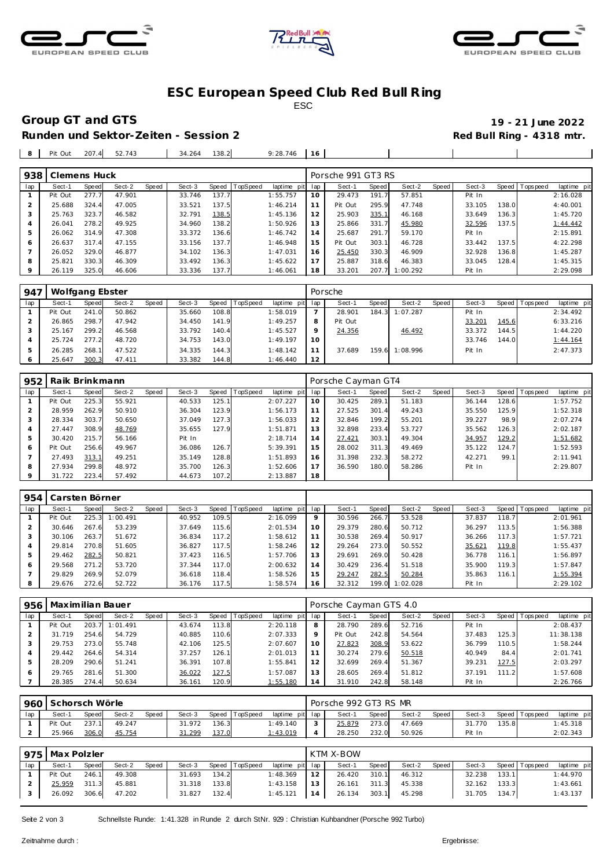





### **ESC European Speed C lub Red Bull R ing** ESC

# **Group GT and GTS 19 - 21 June 2022**

Red Bull Ring - 4318 mtr.

18 33.201 207.7 1:00.292 Pit In 2:29.098

| Runden und Sektor-Zeiten - Session 2 |  |
|--------------------------------------|--|
|--------------------------------------|--|

26.119 325.0 46.606 233.336 137.7 1:46.061

| 8              | Pit Out      | 207.4 | 52.743 |       | 34.264 | 138.2 |          | 9:28.746        | 16 |                    |       |        |       |        |       |                |             |
|----------------|--------------|-------|--------|-------|--------|-------|----------|-----------------|----|--------------------|-------|--------|-------|--------|-------|----------------|-------------|
|                |              |       |        |       |        |       |          |                 |    |                    |       |        |       |        |       |                |             |
| 938            | Clemens Huck |       |        |       |        |       |          |                 |    | Porsche 991 GT3 RS |       |        |       |        |       |                |             |
| lap            | Sect-1       | Speed | Sect-2 | Speed | Sect-3 | Speed | TopSpeed | laptime pit lap |    | Sect-1             | Speed | Sect-2 | Speed | Sect-3 |       | Speed Topspeed | laptime pit |
|                | Pit Out      | 277.7 | 47.901 |       | 33.746 | 137.7 |          | 1:55.757        | 10 | 29.473             | 191.7 | 57.851 |       | Pit In |       |                | 2:16.028    |
|                | 25.688       | 324.4 | 47.005 |       | 33.521 | 137.5 |          | 1:46.214        | 11 | Pit Out            | 295.9 | 47.748 |       | 33.105 | 138.0 |                | 4:40.001    |
| 3              | 25.763       | 323.7 | 46.582 |       | 32.791 | 138.5 |          | 1:45.136        | 12 | 25.903             | 335.1 | 46.168 |       | 33.649 | 136.3 |                | 1:45.720    |
| $\overline{A}$ | 26.041       | 278.2 | 49.925 |       | 34.960 | 138.2 |          | 1:50.926        | 13 | 25.866             | 331.7 | 45.980 |       | 32.596 | 137.5 |                | 1:44.442    |
| 5              | 26.062       | 314.9 | 47.308 |       | 33.372 | 136.6 |          | 1:46.742        | 14 | 25.687             | 291.7 | 59.170 |       | Pit In |       |                | 2:15.891    |
| 6              | 26.637       | 317.4 | 47.155 |       | 33.156 | 137.7 |          | 1:46.948        | 15 | Pit Out            | 303.1 | 46.728 |       | 33.442 | 137.5 |                | 4:22.298    |
|                | 26.052       | 329.0 | 46.877 |       | 34.102 | 136.3 |          | 1:47.031        | 16 | 25.450             | 330.3 | 46.909 |       | 32.928 | 136.8 |                | 1:45.287    |
| 8              | 25.821       | 330.3 | 46.309 |       | 33.492 | 136.3 |          | 1:45.622        | 17 | 25.887             | 318.6 | 46.383 |       | 33.045 | 128.4 |                | 1:45.315    |

| 947 | Wolfgang Ebster |       |        |       |        |       |                |             |     | Porsche |       |                |       |        |       |          |             |
|-----|-----------------|-------|--------|-------|--------|-------|----------------|-------------|-----|---------|-------|----------------|-------|--------|-------|----------|-------------|
| lap | Sect-1          | Speed | Sect-2 | Speed | Sect-3 |       | Speed TopSpeed | laptime pit | lap | Sect-1  | Speed | Sect-2         | Speed | Sect-3 | Speed | Topspeed | laptime pit |
|     | Pit Out         | 241.0 | 50.862 |       | 35.660 | 108.8 |                | 1:58.019    |     | 28.901  | 184.3 | 1:07.287       |       | Pit In |       |          | 2:34.492    |
|     | 26.865          | 298.7 | 47.942 |       | 34.450 | 141.9 |                | 1:49.257    | 8   | Pit Out |       |                |       | 33.201 | 145.6 |          | 6:33.216    |
| 3   | 25.167          | 299.2 | 46.568 |       | 33.792 | 140.4 |                | 1:45.527    | 9   | 24.356  |       | 46.492         |       | 33.372 | 144.5 |          | 1:44.220    |
|     | 25.724          | 277.2 | 48.720 |       | 34.753 | 143.0 |                | 1:49.197    | 10  |         |       |                |       | 33.746 | 144.0 |          | 1:44.164    |
|     | 26.285          | 268.1 | 47.522 |       | 34.335 | 144.3 |                | 1:48.142    | 11  | 37.689  |       | 159.6 1:08.996 |       | Pit In |       |          | 2:47.373    |
| 6   | 25.647          | 300.3 | 47.411 |       | 33.382 | 144.8 |                | 1:46.440    | 12  |         |       |                |       |        |       |          |             |

| 952 | Raik Brinkmann |       |        |       |        |       |          |                 |    | Porsche Cayman GT4 |       |        |         |        |       |                   |             |
|-----|----------------|-------|--------|-------|--------|-------|----------|-----------------|----|--------------------|-------|--------|---------|--------|-------|-------------------|-------------|
| lap | Sect-1         | Speed | Sect-2 | Speed | Sect-3 | Speed | TopSpeed | laptime pit lap |    | Sect-1             | Speed | Sect-2 | Speed ' | Sect-3 |       | Speed   Tops peed | laptime pit |
|     | Pit Out        | 225.3 | 55.921 |       | 40.533 | 125.1 |          | 2:07.227        | 10 | 30.425             | 289.1 | 51.183 |         | 36.144 | 128.6 |                   | 1:57.752    |
|     | 28.959         | 262.9 | 50.910 |       | 36.304 | 123.9 |          | 1:56.173        | 11 | 27.525             | 301.4 | 49.243 |         | 35.550 | 125.9 |                   | 1:52.318    |
|     | 28.334         | 303.7 | 50.650 |       | 37.049 | 127.3 |          | 1:56.033        | 12 | 32.846             | 199.2 | 55.201 |         | 39.227 | 98.9  |                   | 2:07.274    |
|     | 27.447         | 308.9 | 48.769 |       | 35.655 | 127.9 |          | 1:51.871        | 13 | 32.898             | 233.4 | 53.727 |         | 35.562 | 126.3 |                   | 2:02.187    |
| 5   | 30.420         | 215.7 | 56.166 |       | Pit In |       |          | 2:18.714        | 14 | 27.421             | 303.1 | 49.304 |         | 34.957 | 129.2 |                   | 1:51.682    |
| 6   | Pit Out        | 256.6 | 49.967 |       | 36.086 | 126.7 |          | 5:39.391        | 15 | 28.002             | 311.3 | 49.469 |         | 35.122 | 124.7 |                   | 1:52.593    |
|     | 27.493         | 313.1 | 49.251 |       | 35.149 | 128.8 |          | 1:51.893        | 16 | 31.398             | 232.3 | 58.272 |         | 42.271 | 99.1  |                   | 2:11.941    |
| 8   | 27.934         | 299.8 | 48.972 |       | 35.700 | 126.3 |          | 1:52.606        | 17 | 36.590             | 180.0 | 58.286 |         | Pit In |       |                   | 2:29.807    |
|     | 31.722         | 223.4 | 57.492 |       | 44.673 | 107.2 |          | 2:13.887        | 18 |                    |       |        |         |        |       |                   |             |

| 954 | Carsten Börner |       |          |       |        |       |                 |             |                |        |       |          |       |        |       |                   |             |
|-----|----------------|-------|----------|-------|--------|-------|-----------------|-------------|----------------|--------|-------|----------|-------|--------|-------|-------------------|-------------|
| lap | Sect-1         | Speed | Sect-2   | Speed | Sect-3 | Speed | <b>TopSpeed</b> | laptime pit | lap            | Sect-1 | Speed | Sect-2   | Speed | Sect-3 |       | Speed   Tops peed | laptime pit |
|     | Pit Out        | 225.3 | 1:00.491 |       | 40.952 | 109.5 |                 | 2:16.099    | 9              | 30.596 | 266.7 | 53.528   |       | 37.837 | 118.7 |                   | 2:01.961    |
|     | 30.646         | 267.6 | 53.239   |       | 37.649 | 15.6  |                 | 2:01.534    | 10             | 29.379 | 280.6 | 50.712   |       | 36.297 | 113.5 |                   | 1:56.388    |
|     | 30.106         | 263.7 | 51.672   |       | 36.834 | 117.2 |                 | 1:58.612    |                | 30.538 | 269.4 | 50.917   |       | 36.266 | 117.3 |                   | 1:57.721    |
|     | 29.814         | 270.8 | 51.605   |       | 36.827 | 117.5 |                 | 1:58.246    | 12             | 29.264 | 273.0 | 50.552   |       | 35.621 | 119.8 |                   | 1:55.437    |
|     | 29.462         | 282.5 | 50.821   |       | 37.423 | 116.5 |                 | 1:57.706    | 13             | 29.691 | 269.0 | 50.428   |       | 36.778 | 116.1 |                   | 1:56.897    |
| 6   | 29.568         | 271.2 | 53.720   |       | 37.344 | 17.0  |                 | 2:00.632    | $\overline{4}$ | 30.429 | 236.4 | 51.518   |       | 35.900 | 119.3 |                   | 1:57.847    |
|     | 29.829         | 269.9 | 52.079   |       | 36.618 | 118.4 |                 | 1:58.526    | 15             | 29.247 | 282.5 | 50.284   |       | 35.863 | 116.1 |                   | 1:55.394    |
|     | 29.676         | 272.6 | 52.722   |       | 36.176 | 117.5 |                 | 1:58.574    | 16             | 32.312 | 199.0 | 1:02.028 |       | Pit In |       |                   | 2:29.102    |

| 956 | Maximilian Bauer |       |          |       |        |       |          |                | Porsche Cayman GTS 4.0 |         |              |        |       |        |       |                   |             |
|-----|------------------|-------|----------|-------|--------|-------|----------|----------------|------------------------|---------|--------------|--------|-------|--------|-------|-------------------|-------------|
| lap | Sect-1           | Speed | Sect-2   | Speed | Sect-3 | Speed | TopSpeed | laptime<br>pit | lap                    | Sect-1  | <b>Speed</b> | Sect-2 | Speed | Sect-3 |       | Speed   Tops peed | laptime pit |
|     | Pit Out          | 203.7 | 1:01.491 |       | 43.674 | 113.8 |          | 2:20.118       | 8                      | 28.790  | 289.6        | 52.716 |       | Pit In |       |                   | 2:08.437    |
|     | 31.719           | 254.6 | 54.729   |       | 40.885 | 110.6 |          | 2:07.333       | Q                      | Pit Out | 242.8        | 54.564 |       | 37.483 | 125.3 |                   | 11:38.138   |
|     | 29.753           | 273.0 | 55.748   |       | 42.106 | 125.5 |          | 2:07.607       | 10                     | 27.823  | 308.9        | 53.622 |       | 36.799 | 110.5 |                   | 1:58.244    |
|     | 29.442           | 264.6 | 54.314   |       | 37.257 | 126.1 |          | 2:01.013       |                        | 30.274  | 279.6        | 50.518 |       | 40.949 | 84.4  |                   | 2:01.741    |
| .5  | 28.209           | 290.6 | 51.241   |       | 36.391 | 107.8 |          | 1:55.841       | 12                     | 32.699  | 269.4        | 51.367 |       | 39.231 | 127.5 |                   | 2:03.297    |
|     | 29.765           | 281.6 | 51.300   |       | 36.022 | 127.5 |          | 1:57.087       | 13                     | 28.605  | 269.4        | 51.812 |       | 37.191 | 111.2 |                   | 1:57.608    |
|     | 28.385           | 274.4 | 50.634   |       | 36.161 | 120.9 |          | 1:55.180       | 14                     | 31.910  | 242.8        | 58.148 |       | Pit In |       |                   | 2:26.766    |

|     | 960 Schorsch Wörle |       |        |       |        |       |                |                 |  | Porsche 992 GT3 RS MR |       |        |       |            |       |                |             |  |  |
|-----|--------------------|-------|--------|-------|--------|-------|----------------|-----------------|--|-----------------------|-------|--------|-------|------------|-------|----------------|-------------|--|--|
| lap | Sect-1             | Speed | Sect-2 | Speed | Sect-3 |       | Speed TopSpeed | laptime pit lap |  | Sect-1                | Speed | Sect-2 | Speed | Sect-3     |       | Speed Topspeed | laptime pit |  |  |
|     | Pit Out            | 237.1 | 49.247 |       | 31.972 | 136.3 |                | 1:49.140        |  | 25.879                | 273.0 | 47.669 |       | 770<br>31. | 135.8 |                | 1:45.318    |  |  |
|     | 25.966             | 306.0 | 45.754 |       | 31.299 | 137.0 |                | 1:43.019        |  | 28.250                | 232.0 | 50.926 |       | Pit In     |       |                | 2:02.343    |  |  |

| 975 | Max Polzler |       |        |       |        |       |          |                 | KTM X-BOW |        |       |        |       |        |        |                 |             |  |
|-----|-------------|-------|--------|-------|--------|-------|----------|-----------------|-----------|--------|-------|--------|-------|--------|--------|-----------------|-------------|--|
| lap | Sect-1      | Speed | Sect-2 | Speed | Sect-3 | Speed | TopSpeed | laptime pit lap |           | Sect-1 | Speed | Sect-2 | Speed | Sect-3 |        | Speed Tops peed | laptime pit |  |
|     | Pit Out     | 246.1 | 49.308 |       | 31.693 | 134.2 |          | 1:48.369        | 12        | 26.420 | 310.1 | 46.312 |       | 32.238 | 133.11 |                 | 1:44.970    |  |
|     | 25.959      | 311.3 | 45.881 |       | 31.318 | 133.8 |          | 1:43.158        | 13        | 26.161 | 311.3 | 45.338 |       | 32.162 | 133.3  |                 | 1:43.661    |  |
|     | 26.092      | 306.6 | 47.202 |       | 31.827 | 132.4 |          | 1:45.121        | 14        | 26.134 | 303.1 | 45.298 |       | 31.705 | 134.7  |                 | 1:43.137    |  |